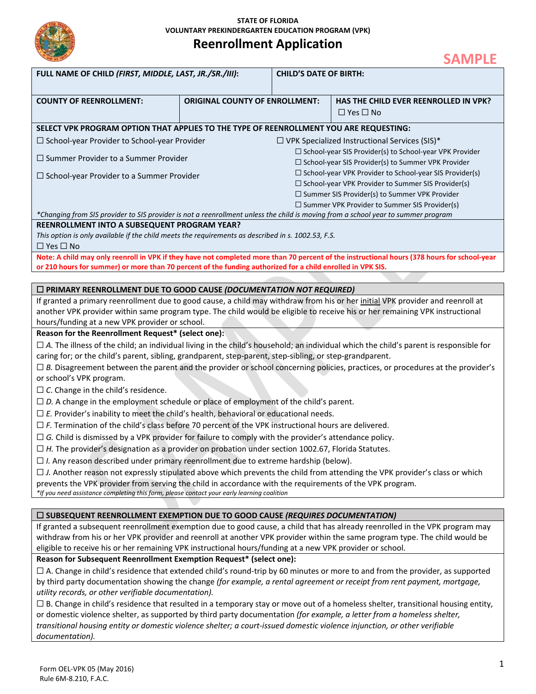

**STATE OF FLORIDA VOLUNTARY PREKINDERGARTEN EDUCATION PROGRAM (VPK)**

# **Reenrollment Application**

|                                                                                                                                                                                                                        |                                       |                                                      | <b>SAMPLE</b>                                                  |  |
|------------------------------------------------------------------------------------------------------------------------------------------------------------------------------------------------------------------------|---------------------------------------|------------------------------------------------------|----------------------------------------------------------------|--|
| FULL NAME OF CHILD (FIRST, MIDDLE, LAST, JR./SR./III):                                                                                                                                                                 |                                       | <b>CHILD'S DATE OF BIRTH:</b>                        |                                                                |  |
|                                                                                                                                                                                                                        |                                       |                                                      |                                                                |  |
| <b>COUNTY OF REENROLLMENT:</b>                                                                                                                                                                                         | <b>ORIGINAL COUNTY OF ENROLLMENT:</b> |                                                      | HAS THE CHILD EVER REENROLLED IN VPK?                          |  |
|                                                                                                                                                                                                                        |                                       |                                                      | $\Box$ Yes $\Box$ No                                           |  |
| SELECT VPK PROGRAM OPTION THAT APPLIES TO THE TYPE OF REENROLLMENT YOU ARE REQUESTING:                                                                                                                                 |                                       |                                                      |                                                                |  |
| $\Box$ School-year Provider to School-year Provider<br>$\Box$ VPK Specialized Instructional Services (SIS)*                                                                                                            |                                       |                                                      |                                                                |  |
|                                                                                                                                                                                                                        |                                       |                                                      | $\Box$ School-year SIS Provider(s) to School-year VPK Provider |  |
| $\square$ Summer Provider to a Summer Provider                                                                                                                                                                         |                                       | □ School-year SIS Provider(s) to Summer VPK Provider |                                                                |  |
| $\Box$ School-year Provider to a Summer Provider                                                                                                                                                                       |                                       |                                                      | □ School-year VPK Provider to School-year SIS Provider(s)      |  |
|                                                                                                                                                                                                                        |                                       |                                                      | $\Box$ School-year VPK Provider to Summer SIS Provider(s)      |  |
|                                                                                                                                                                                                                        |                                       |                                                      | □ Summer SIS Provider(s) to Summer VPK Provider                |  |
|                                                                                                                                                                                                                        |                                       |                                                      | □ Summer VPK Provider to Summer SIS Provider(s)                |  |
| *Changing from SIS provider to SIS provider is not a reenrollment unless the child is moving from a school year to summer program<br>REENROLLMENT INTO A SUBSEQUENT PROGRAM YEAR?                                      |                                       |                                                      |                                                                |  |
| This option is only available if the child meets the requirements as described in s. 1002.53, F.S.                                                                                                                     |                                       |                                                      |                                                                |  |
| $\Box$ Yes $\Box$ No                                                                                                                                                                                                   |                                       |                                                      |                                                                |  |
| Note: A child may only reenroll in VPK if they have not completed more than 70 percent of the instructional hours (378 hours for school-year                                                                           |                                       |                                                      |                                                                |  |
| or 210 hours for summer) or more than 70 percent of the funding authorized for a child enrolled in VPK SIS.                                                                                                            |                                       |                                                      |                                                                |  |
|                                                                                                                                                                                                                        |                                       |                                                      |                                                                |  |
| $\Box$ PRIMARY REENROLLMENT DUE TO GOOD CAUSE (DOCUMENTATION NOT REQUIRED)                                                                                                                                             |                                       |                                                      |                                                                |  |
| If granted a primary reenrollment due to good cause, a child may withdraw from his or her initial VPK provider and reenroll at                                                                                         |                                       |                                                      |                                                                |  |
| another VPK provider within same program type. The child would be eligible to receive his or her remaining VPK instructional<br>hours/funding at a new VPK provider or school.                                         |                                       |                                                      |                                                                |  |
| Reason for the Reenrollment Request* (select one):                                                                                                                                                                     |                                       |                                                      |                                                                |  |
| $\Box$ A. The illness of the child; an individual living in the child's household; an individual which the child's parent is responsible for                                                                           |                                       |                                                      |                                                                |  |
| caring for; or the child's parent, sibling, grandparent, step-parent, step-sibling, or step-grandparent.                                                                                                               |                                       |                                                      |                                                                |  |
| $\Box$ B. Disagreement between the parent and the provider or school concerning policies, practices, or procedures at the provider's                                                                                   |                                       |                                                      |                                                                |  |
| or school's VPK program.                                                                                                                                                                                               |                                       |                                                      |                                                                |  |
| $\Box$ C. Change in the child's residence.                                                                                                                                                                             |                                       |                                                      |                                                                |  |
| $\Box$ D. A change in the employment schedule or place of employment of the child's parent.                                                                                                                            |                                       |                                                      |                                                                |  |
| $\Box$ E. Provider's inability to meet the child's health, behavioral or educational needs.                                                                                                                            |                                       |                                                      |                                                                |  |
| $\Box$ F. Termination of the child's class before 70 percent of the VPK instructional hours are delivered.                                                                                                             |                                       |                                                      |                                                                |  |
| $\Box$ G. Child is dismissed by a VPK provider for failure to comply with the provider's attendance policy.                                                                                                            |                                       |                                                      |                                                                |  |
| $\Box$ H. The provider's designation as a provider on probation under section 1002.67, Florida Statutes.                                                                                                               |                                       |                                                      |                                                                |  |
| $\Box$ I. Any reason described under primary reenrollment due to extreme hardship (below).                                                                                                                             |                                       |                                                      |                                                                |  |
| $\Box$ J. Another reason not expressly stipulated above which prevents the child from attending the VPK provider's class or which                                                                                      |                                       |                                                      |                                                                |  |
| prevents the VPK provider from serving the child in accordance with the requirements of the VPK program.                                                                                                               |                                       |                                                      |                                                                |  |
| *If you need assistance completing this form, please contact your early learning coalition                                                                                                                             |                                       |                                                      |                                                                |  |
|                                                                                                                                                                                                                        |                                       |                                                      |                                                                |  |
| $\square$ SUBSEQUENT REENROLLMENT EXEMPTION DUE TO GOOD CAUSE (REQUIRES DOCUMENTATION)<br>If granted a subsequent reenrollment exemption due to good cause, a child that has already reenrolled in the VPK program may |                                       |                                                      |                                                                |  |
| withdraw from his or her VPK provider and reenroll at another VPK provider within the same program type. The child would be                                                                                            |                                       |                                                      |                                                                |  |
| eligible to receive his or her remaining VPK instructional hours/funding at a new VPK provider or school.                                                                                                              |                                       |                                                      |                                                                |  |
| Reason for Subsequent Reenrollment Exemption Request* (select one):                                                                                                                                                    |                                       |                                                      |                                                                |  |
| $\Box$ A. Change in child's residence that extended child's round-trip by 60 minutes or more to and from the provider, as supported                                                                                    |                                       |                                                      |                                                                |  |
| by third party documentation showing the change (for example, a rental agreement or receipt from rent payment, mortgage,                                                                                               |                                       |                                                      |                                                                |  |
| utility records, or other verifiable documentation).                                                                                                                                                                   |                                       |                                                      |                                                                |  |

☐ B. Change in child's residence that resulted in a temporary stay or move out of a homeless shelter, transitional housing entity, or domestic violence shelter, as supported by third party documentation *(for example, a letter from a homeless shelter, transitional housing entity or domestic violence shelter; a court-issued domestic violence injunction, or other verifiable documentation).*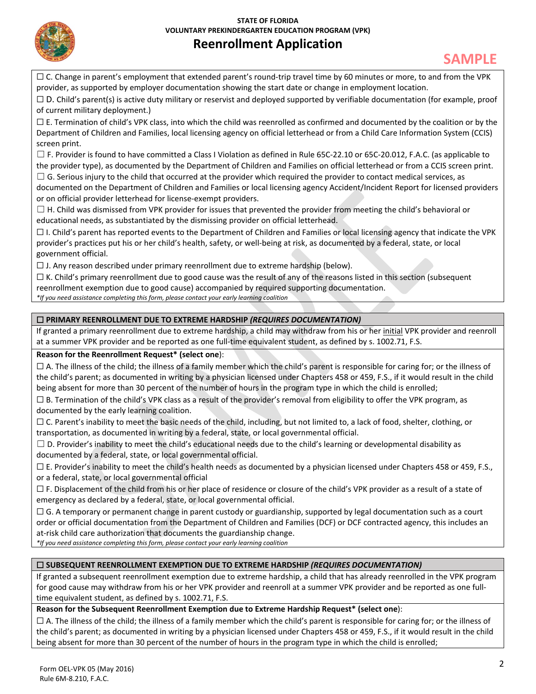

# **Reenrollment Application**

 $\Box$  C. Change in parent's employment that extended parent's round-trip travel time by 60 minutes or more, to and from the VPK provider, as supported by employer documentation showing the start date or change in employment location.

 $\Box$  D. Child's parent(s) is active duty military or reservist and deployed supported by verifiable documentation (for example, proof of current military deployment.)

 $\Box$  E. Termination of child's VPK class, into which the child was reenrolled as confirmed and documented by the coalition or by the Department of Children and Families, local licensing agency on official letterhead or from a Child Care Information System (CCIS) screen print.

 $\square$  F. Provider is found to have committed a Class I Violation as defined in Rule 65C-22.10 or 65C-20.012, F.A.C. (as applicable to the provider type), as documented by the Department of Children and Families on official letterhead or from a CCIS screen print.

 $\Box$  G. Serious injury to the child that occurred at the provider which required the provider to contact medical services, as documented on the Department of Children and Families or local licensing agency Accident/Incident Report for licensed providers

or on official provider letterhead for license-exempt providers.

 $\Box$  H. Child was dismissed from VPK provider for issues that prevented the provider from meeting the child's behavioral or educational needs, as substantiated by the dismissing provider on official letterhead.

 $\Box$  I. Child's parent has reported events to the Department of Children and Families or local licensing agency that indicate the VPK provider's practices put his or her child's health, safety, or well-being at risk, as documented by a federal, state, or local government official.

 $\Box$  J. Any reason described under primary reenrollment due to extreme hardship (below).

 $\Box$  K. Child's primary reenrollment due to good cause was the result of any of the reasons listed in this section (subsequent

reenrollment exemption due to good cause) accompanied by required supporting documentation.

*\*If you need assistance completing this form, please contact your early learning coalition*

### ☐ **PRIMARY REENROLLMENT DUE TO EXTREME HARDSHIP** *(REQUIRES DOCUMENTATION)*

If granted a primary reenrollment due to extreme hardship, a child may withdraw from his or her initial VPK provider and reenroll at a summer VPK provider and be reported as one full-time equivalent student, as defined by s. 1002.71, F.S.

#### **Reason for the Reenrollment Request\* (select one**):

 $\Box$  A. The illness of the child; the illness of a family member which the child's parent is responsible for caring for; or the illness of the child's parent; as documented in writing by a physician licensed under Chapters 458 or 459, F.S., if it would result in the child being absent for more than 30 percent of the number of hours in the program type in which the child is enrolled;

 $\Box$  B. Termination of the child's VPK class as a result of the provider's removal from eligibility to offer the VPK program, as documented by the early learning coalition.

 $\Box$  C. Parent's inability to meet the basic needs of the child, including, but not limited to, a lack of food, shelter, clothing, or transportation, as documented in writing by a federal, state, or local governmental official.

 $\Box$  D. Provider's inability to meet the child's educational needs due to the child's learning or developmental disability as documented by a federal, state, or local governmental official.

 $\Box$  E. Provider's inability to meet the child's health needs as documented by a physician licensed under Chapters 458 or 459, F.S., or a federal, state, or local governmental official

 $\square$  F. Displacement of the child from his or her place of residence or closure of the child's VPK provider as a result of a state of emergency as declared by a federal, state, or local governmental official.

 $\Box$  G. A temporary or permanent change in parent custody or guardianship, supported by legal documentation such as a court order or official documentation from the Department of Children and Families (DCF) or DCF contracted agency, this includes an at-risk child care authorization that documents the guardianship change.

*\*If you need assistance completing this form, please contact your early learning coalition*

### ☐ **SUBSEQUENT REENROLLMENT EXEMPTION DUE TO EXTREME HARDSHIP** *(REQUIRES DOCUMENTATION)*

If granted a subsequent reenrollment exemption due to extreme hardship, a child that has already reenrolled in the VPK program for good cause may withdraw from his or her VPK provider and reenroll at a summer VPK provider and be reported as one fulltime equivalent student, as defined by s. 1002.71, F.S.

### **Reason for the Subsequent Reenrollment Exemption due to Extreme Hardship Request\* (select one**):

 $\Box$  A. The illness of the child; the illness of a family member which the child's parent is responsible for caring for; or the illness of the child's parent; as documented in writing by a physician licensed under Chapters 458 or 459, F.S., if it would result in the child being absent for more than 30 percent of the number of hours in the program type in which the child is enrolled;